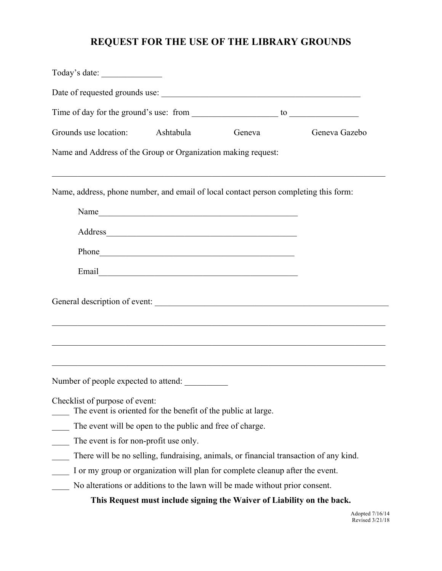## **REQUEST FOR THE USE OF THE LIBRARY GROUNDS**

| Grounds use location: Ashtabula                                                                 | Geneva                                                                                                                                                                                                                         | Geneva Gazebo                                                                    |
|-------------------------------------------------------------------------------------------------|--------------------------------------------------------------------------------------------------------------------------------------------------------------------------------------------------------------------------------|----------------------------------------------------------------------------------|
| Name and Address of the Group or Organization making request:                                   |                                                                                                                                                                                                                                |                                                                                  |
| Name, address, phone number, and email of local contact person completing this form:            |                                                                                                                                                                                                                                |                                                                                  |
|                                                                                                 |                                                                                                                                                                                                                                |                                                                                  |
|                                                                                                 |                                                                                                                                                                                                                                |                                                                                  |
|                                                                                                 | Phone https://www.archive.com/communications/communications/communications/communications/communications/communications/communications/communications/communications/communications/communications/communications/communicatio |                                                                                  |
|                                                                                                 |                                                                                                                                                                                                                                |                                                                                  |
|                                                                                                 |                                                                                                                                                                                                                                |                                                                                  |
| Number of people expected to attend:                                                            |                                                                                                                                                                                                                                | ,我们也不能在这里的时候,我们也不能在这里的时候,我们也不能在这里的时候,我们也不能会在这里的时候,我们也不能会在这里的时候,我们也不能会在这里的时候,我们也不 |
| Checklist of purpose of event:<br>The event is oriented for the benefit of the public at large. |                                                                                                                                                                                                                                |                                                                                  |
| The event will be open to the public and free of charge.                                        |                                                                                                                                                                                                                                |                                                                                  |
| The event is for non-profit use only.                                                           |                                                                                                                                                                                                                                |                                                                                  |
|                                                                                                 | There will be no selling, fundraising, animals, or financial transaction of any kind.                                                                                                                                          |                                                                                  |
|                                                                                                 | I or my group or organization will plan for complete cleanup after the event.                                                                                                                                                  |                                                                                  |
|                                                                                                 | No alterations or additions to the lawn will be made without prior consent.                                                                                                                                                    |                                                                                  |
|                                                                                                 | This Request must include signing the Waiver of Liability on the back.                                                                                                                                                         |                                                                                  |